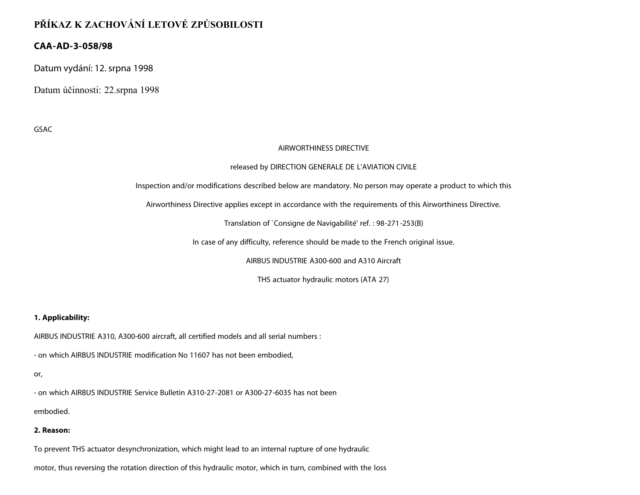# **PŘÍKAZ K ZACHOVÁNÍ LETOVÉ ZPŮSOBILOSTI**

## **CAA-AD-3-058/98**

Datum vydání: 12. srpna 1998

Datum účinnosti: 22.srpna 1998

GSAC

#### AIRWORTHINESS DIRECTIVE

#### released by DIRECTION GENERALE DE L'AVIATION CIVILE

Inspection and/or modifications described below are mandatory. No person may operate a product to which this

Airworthiness Directive applies except in accordance with the requirements of this Airworthiness Directive.

Translation of `Consigne de Navigabilité' ref. : 98-271-253(B)

In case of any difficulty, reference should be made to the French original issue.

AIRBUS INDUSTRIE A300-600 and A310 Aircraft

THS actuator hydraulic motors (ATA 27)

### **1. Applicability:**

AIRBUS INDUSTRIE A310, A300-600 aircraft, all certified models and all serial numbers :

- on which AIRBUS INDUSTRIE modification No 11607 has not been embodied,

or,

- on which AIRBUS INDUSTRIE Service Bulletin A310-27-2081 or A300-27-6035 has not been

embodied.

### **2. Reason:**

To prevent THS actuator desynchronization, which might lead to an internal rupture of one hydraulic

motor, thus reversing the rotation direction of this hydraulic motor, which in turn, combined with the loss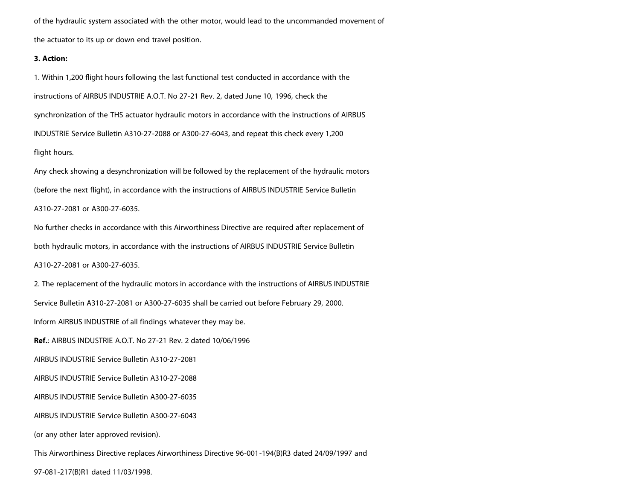of the hydraulic system associated with the other motor, would lead to the uncommanded movement of the actuator to its up or down end travel position.

#### **3. Action:**

1. Within 1,200 flight hours following the last functional test conducted in accordance with the instructions of AIRBUS INDUSTRIE A.O.T. No 27-21 Rev. 2, dated June 10, 1996, check the synchronization of the THS actuator hydraulic motors in accordance with the instructions of AIRBUS INDUSTRIE Service Bulletin A310-27-2088 or A300-27-6043, and repeat this check every 1,200 flight hours. Any check showing a desynchronization will be followed by the replacement of the hydraulic motors

(before the next flight), in accordance with the instructions of AIRBUS INDUSTRIE Service Bulletin

A310-27-2081 or A300-27-6035.

No further checks in accordance with this Airworthiness Directive are required after replacement of both hydraulic motors, in accordance with the instructions of AIRBUS INDUSTRIE Service Bulletin

A310-27-2081 or A300-27-6035.

2. The replacement of the hydraulic motors in accordance with the instructions of AIRBUS INDUSTRIE Service Bulletin A310-27-2081 or A300-27-6035 shall be carried out before February 29, 2000. Inform AIRBUS INDUSTRIE of all findings whatever they may be. **Ref.**: AIRBUS INDUSTRIE A.O.T. No 27-21 Rev. 2 dated 10/06/1996 AIRBUS INDUSTRIE Service Bulletin A310-27-2081 AIRBUS INDUSTRIE Service Bulletin A310-27-2088 AIRBUS INDUSTRIE Service Bulletin A300-27-6035 AIRBUS INDUSTRIE Service Bulletin A300-27-6043 (or any other later approved revision). This Airworthiness Directive replaces Airworthiness Directive 96-001-194(B)R3 dated 24/09/1997 and

97-081-217(B)R1 dated 11/03/1998.